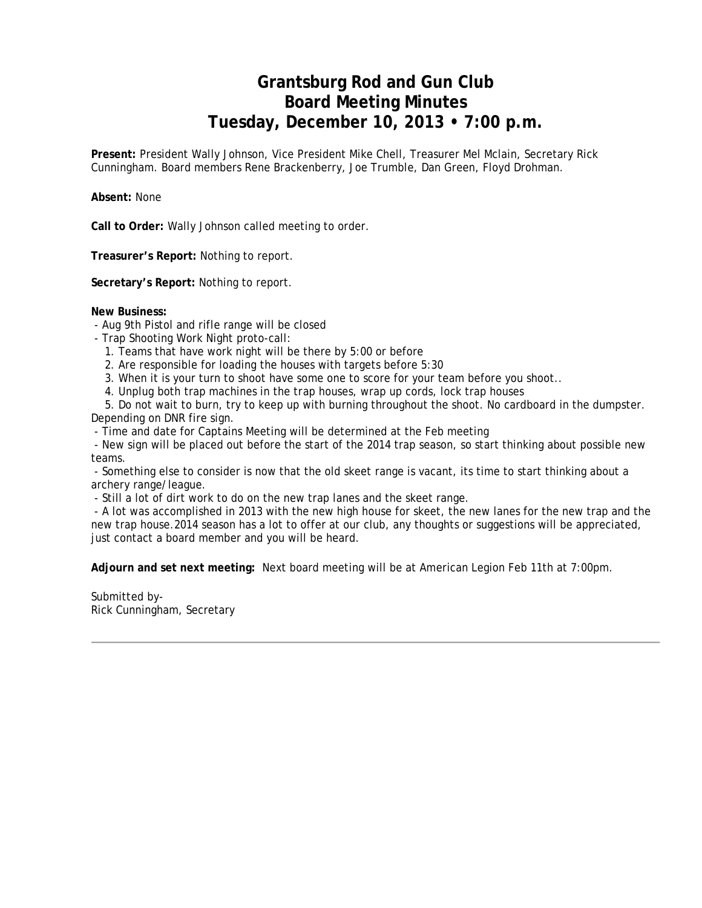## **Grantsburg Rod and Gun Club Board Meeting Minutes Tuesday, December 10, 2013 • 7:00 p.m.**

**Present:** President Wally Johnson, Vice President Mike Chell, Treasurer Mel Mclain, Secretary Rick Cunningham. Board members Rene Brackenberry, Joe Trumble, Dan Green, Floyd Drohman.

**Absent:** None

**Call to Order:** Wally Johnson called meeting to order.

**Treasurer's Report:** Nothing to report.

**Secretary's Report:** Nothing to report.

#### **New Business:**

- Aug 9th Pistol and rifle range will be closed
- Trap Shooting Work Night proto-call:
	- 1. Teams that have work night will be there by 5:00 or before
	- 2. Are responsible for loading the houses with targets before 5:30
	- 3. When it is your turn to shoot have some one to score for your team before you shoot..
	- 4. Unplug both trap machines in the trap houses, wrap up cords, lock trap houses

 5. Do not wait to burn, try to keep up with burning throughout the shoot. No cardboard in the dumpster. Depending on DNR fire sign.

- Time and date for Captains Meeting will be determined at the Feb meeting

 - New sign will be placed out before the start of the 2014 trap season, so start thinking about possible new teams.

 - Something else to consider is now that the old skeet range is vacant, its time to start thinking about a archery range/league.

- Still a lot of dirt work to do on the new trap lanes and the skeet range.

 - A lot was accomplished in 2013 with the new high house for skeet, the new lanes for the new trap and the new trap house.2014 season has a lot to offer at our club, any thoughts or suggestions will be appreciated, just contact a board member and you will be heard.

**Adjourn and set next meeting:** Next board meeting will be at American Legion Feb 11th at 7:00pm.

Submitted by-Rick Cunningham, Secretary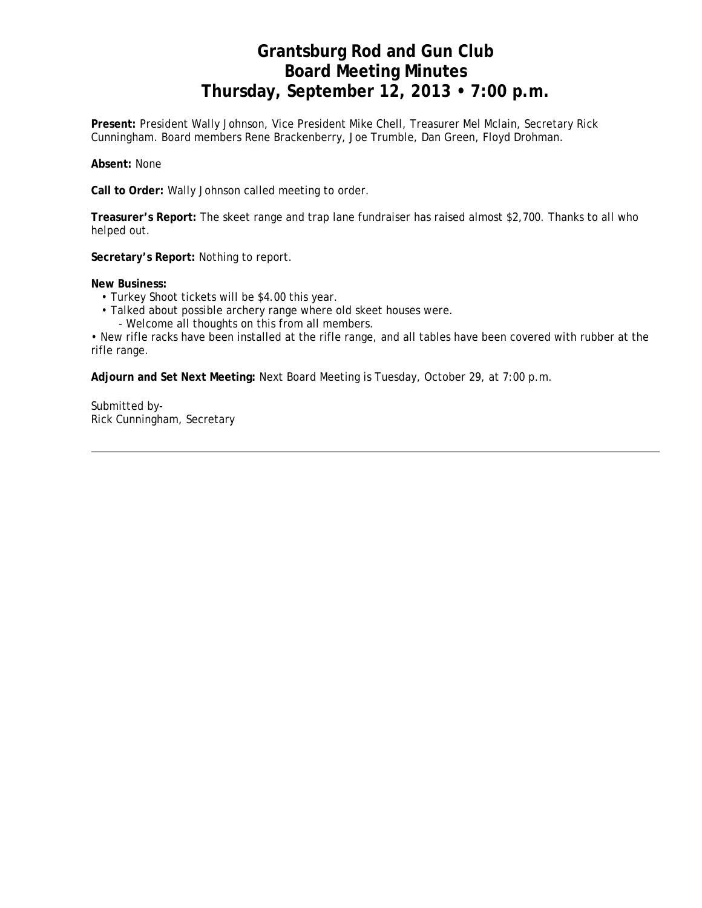## **Grantsburg Rod and Gun Club Board Meeting Minutes Thursday, September 12, 2013 • 7:00 p.m.**

**Present:** President Wally Johnson, Vice President Mike Chell, Treasurer Mel Mclain, Secretary Rick Cunningham. Board members Rene Brackenberry, Joe Trumble, Dan Green, Floyd Drohman.

**Absent:** None

**Call to Order:** Wally Johnson called meeting to order.

**Treasurer's Report:** The skeet range and trap lane fundraiser has raised almost \$2,700. Thanks to all who helped out.

**Secretary's Report:** Nothing to report.

**New Business:**

- Turkey Shoot tickets will be \$4.00 this year.
- Talked about possible archery range where old skeet houses were.
	- Welcome all thoughts on this from all members.

• New rifle racks have been installed at the rifle range, and all tables have been covered with rubber at the rifle range.

**Adjourn and Set Next Meeting:** Next Board Meeting is Tuesday, October 29, at 7:00 p.m.

Submitted by-Rick Cunningham, Secretary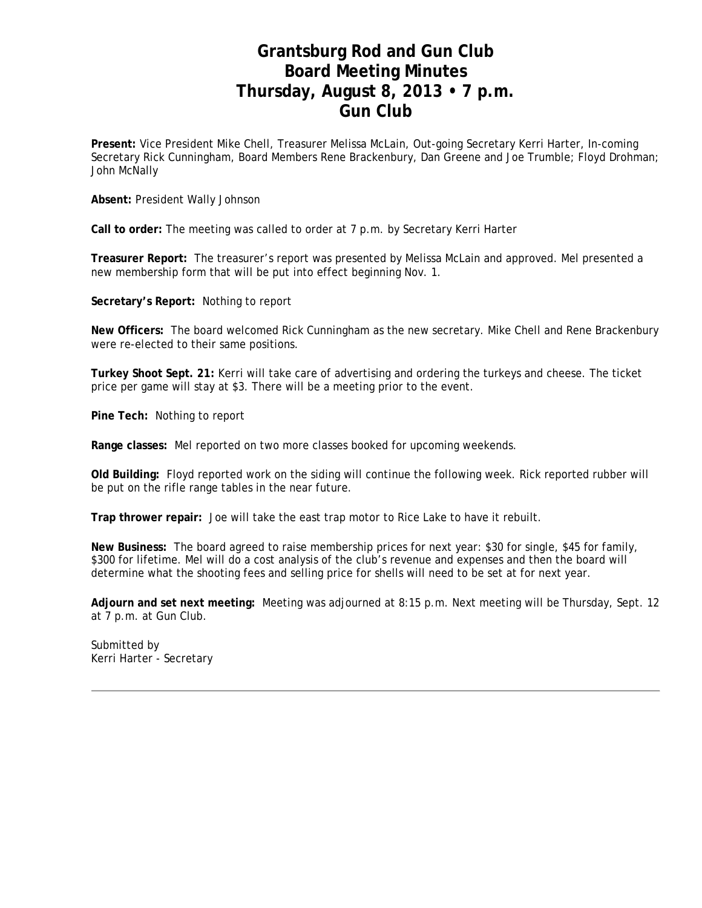### **Grantsburg Rod and Gun Club Board Meeting Minutes Thursday, August 8, 2013 • 7 p.m. Gun Club**

**Present:** Vice President Mike Chell, Treasurer Melissa McLain, Out-going Secretary Kerri Harter, In-coming Secretary Rick Cunningham, Board Members Rene Brackenbury, Dan Greene and Joe Trumble; Floyd Drohman; John McNally

**Absent:** President Wally Johnson

**Call to order:** The meeting was called to order at 7 p.m. by Secretary Kerri Harter

**Treasurer Report:** The treasurer's report was presented by Melissa McLain and approved. Mel presented a new membership form that will be put into effect beginning Nov. 1.

**Secretary's Report:** Nothing to report

**New Officers:** The board welcomed Rick Cunningham as the new secretary. Mike Chell and Rene Brackenbury were re-elected to their same positions.

**Turkey Shoot Sept. 21:** Kerri will take care of advertising and ordering the turkeys and cheese. The ticket price per game will stay at \$3. There will be a meeting prior to the event.

**Pine Tech:** Nothing to report

**Range classes:** Mel reported on two more classes booked for upcoming weekends.

**Old Building:** Floyd reported work on the siding will continue the following week. Rick reported rubber will be put on the rifle range tables in the near future.

**Trap thrower repair:** Joe will take the east trap motor to Rice Lake to have it rebuilt.

**New Business:** The board agreed to raise membership prices for next year: \$30 for single, \$45 for family, \$300 for lifetime. Mel will do a cost analysis of the club's revenue and expenses and then the board will determine what the shooting fees and selling price for shells will need to be set at for next year.

**Adjourn and set next meeting:** Meeting was adjourned at 8:15 p.m. Next meeting will be Thursday, Sept. 12 at 7 p.m. at Gun Club.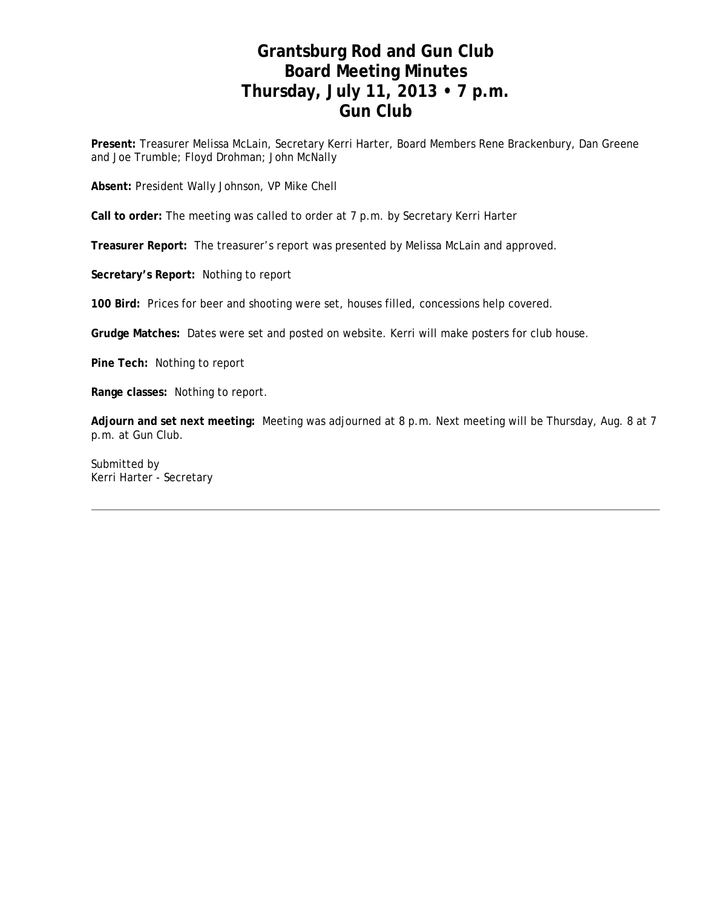# **Grantsburg Rod and Gun Club Board Meeting Minutes Thursday, July 11, 2013 • 7 p.m. Gun Club**

**Present:** Treasurer Melissa McLain, Secretary Kerri Harter, Board Members Rene Brackenbury, Dan Greene and Joe Trumble; Floyd Drohman; John McNally

**Absent:** President Wally Johnson, VP Mike Chell

**Call to order:** The meeting was called to order at 7 p.m. by Secretary Kerri Harter

**Treasurer Report:** The treasurer's report was presented by Melissa McLain and approved.

**Secretary's Report:** Nothing to report

**100 Bird:** Prices for beer and shooting were set, houses filled, concessions help covered.

**Grudge Matches:** Dates were set and posted on website. Kerri will make posters for club house.

**Pine Tech:** Nothing to report

**Range classes:** Nothing to report.

**Adjourn and set next meeting:** Meeting was adjourned at 8 p.m. Next meeting will be Thursday, Aug. 8 at 7 p.m. at Gun Club.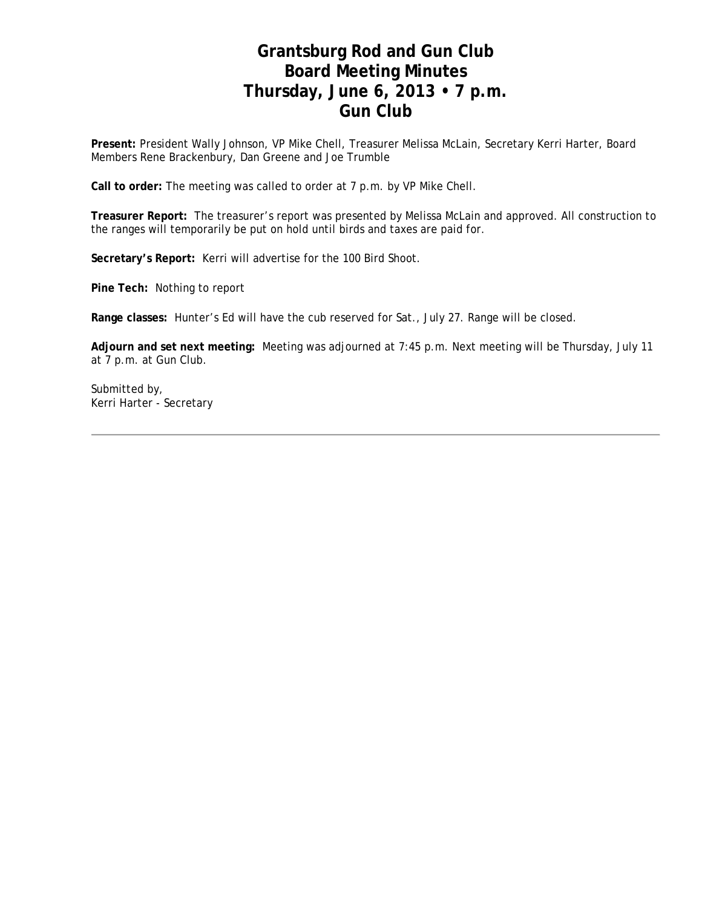### **Grantsburg Rod and Gun Club Board Meeting Minutes Thursday, June 6, 2013 • 7 p.m. Gun Club**

**Present:** President Wally Johnson, VP Mike Chell, Treasurer Melissa McLain, Secretary Kerri Harter, Board Members Rene Brackenbury, Dan Greene and Joe Trumble

**Call to order:** The meeting was called to order at 7 p.m. by VP Mike Chell.

**Treasurer Report:** The treasurer's report was presented by Melissa McLain and approved. All construction to the ranges will temporarily be put on hold until birds and taxes are paid for.

**Secretary's Report:** Kerri will advertise for the 100 Bird Shoot.

**Pine Tech:** Nothing to report

**Range classes:** Hunter's Ed will have the cub reserved for Sat., July 27. Range will be closed.

**Adjourn and set next meeting:** Meeting was adjourned at 7:45 p.m. Next meeting will be Thursday, July 11 at 7 p.m. at Gun Club.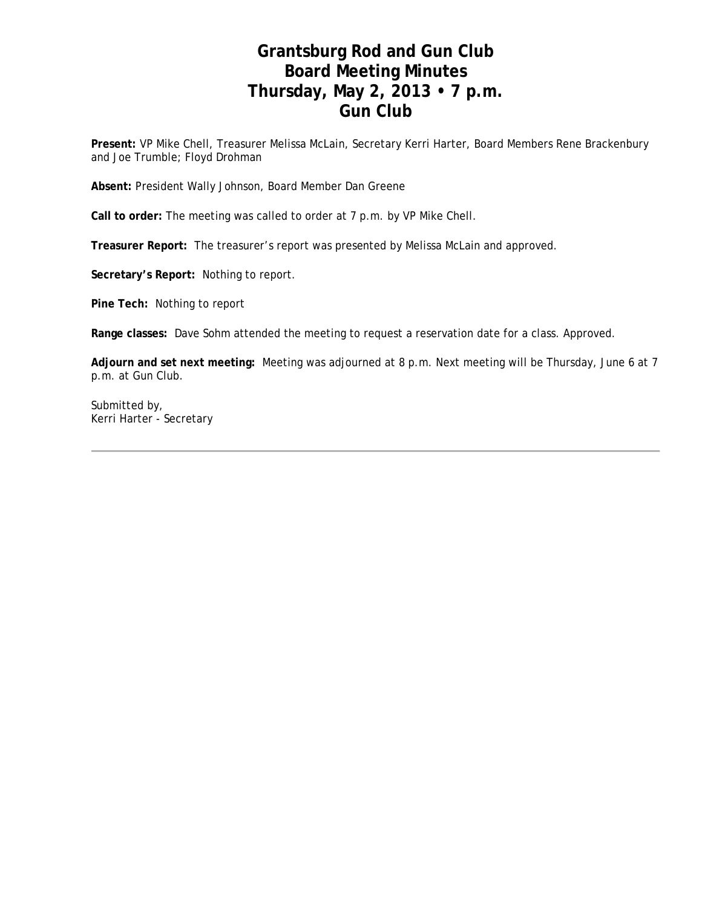### **Grantsburg Rod and Gun Club Board Meeting Minutes Thursday, May 2, 2013 • 7 p.m. Gun Club**

**Present:** VP Mike Chell, Treasurer Melissa McLain, Secretary Kerri Harter, Board Members Rene Brackenbury and Joe Trumble; Floyd Drohman

**Absent:** President Wally Johnson, Board Member Dan Greene

**Call to order:** The meeting was called to order at 7 p.m. by VP Mike Chell.

**Treasurer Report:** The treasurer's report was presented by Melissa McLain and approved.

**Secretary's Report:** Nothing to report.

**Pine Tech:** Nothing to report

**Range classes:** Dave Sohm attended the meeting to request a reservation date for a class. Approved.

**Adjourn and set next meeting:** Meeting was adjourned at 8 p.m. Next meeting will be Thursday, June 6 at 7 p.m. at Gun Club.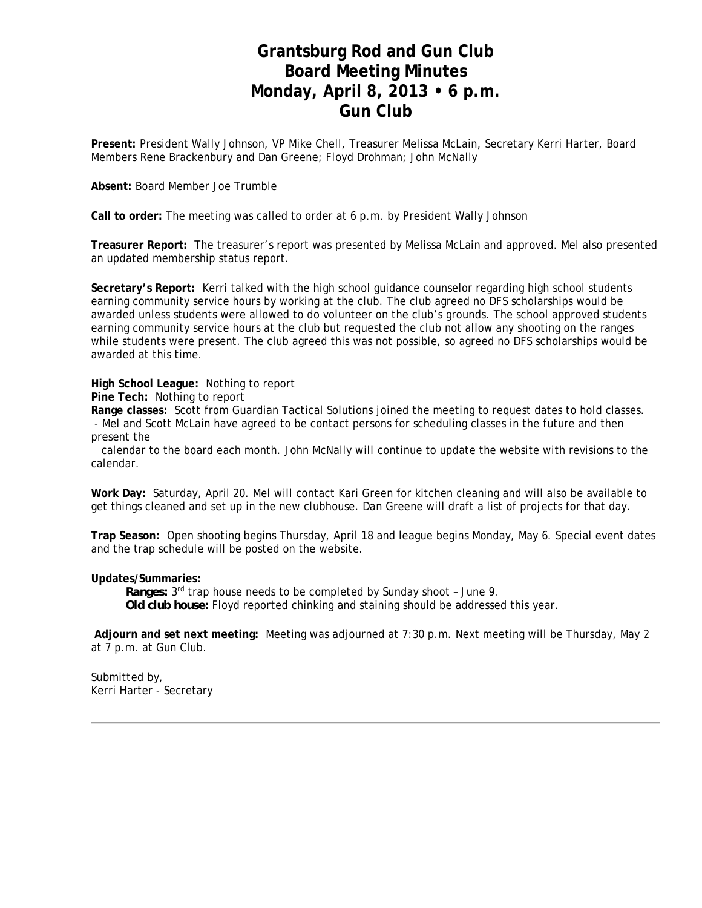#### **Grantsburg Rod and Gun Club Board Meeting Minutes Monday, April 8, 2013 • 6 p.m. Gun Club**

**Present:** President Wally Johnson, VP Mike Chell, Treasurer Melissa McLain, Secretary Kerri Harter, Board Members Rene Brackenbury and Dan Greene; Floyd Drohman; John McNally

**Absent:** Board Member Joe Trumble

**Call to order:** The meeting was called to order at 6 p.m. by President Wally Johnson

**Treasurer Report:** The treasurer's report was presented by Melissa McLain and approved. Mel also presented an updated membership status report.

**Secretary's Report:** Kerri talked with the high school guidance counselor regarding high school students earning community service hours by working at the club. The club agreed no DFS scholarships would be awarded unless students were allowed to do volunteer on the club's grounds. The school approved students earning community service hours at the club but requested the club not allow any shooting on the ranges while students were present. The club agreed this was not possible, so agreed no DFS scholarships would be awarded at this time.

**High School League:** Nothing to report

**Pine Tech:** Nothing to report

**Range classes:** Scott from Guardian Tactical Solutions joined the meeting to request dates to hold classes.

 - Mel and Scott McLain have agreed to be contact persons for scheduling classes in the future and then present the

 calendar to the board each month. John McNally will continue to update the website with revisions to the calendar.

**Work Day:** Saturday, April 20. Mel will contact Kari Green for kitchen cleaning and will also be available to get things cleaned and set up in the new clubhouse. Dan Greene will draft a list of projects for that day.

**Trap Season:** Open shooting begins Thursday, April 18 and league begins Monday, May 6. Special event dates and the trap schedule will be posted on the website.

**Updates/Summaries:**

 *Ranges:* 3rd trap house needs to be completed by Sunday shoot – June 9. *Old club house:* Floyd reported chinking and staining should be addressed this year.

 **Adjourn and set next meeting:** Meeting was adjourned at 7:30 p.m. Next meeting will be Thursday, May 2 at 7 p.m. at Gun Club.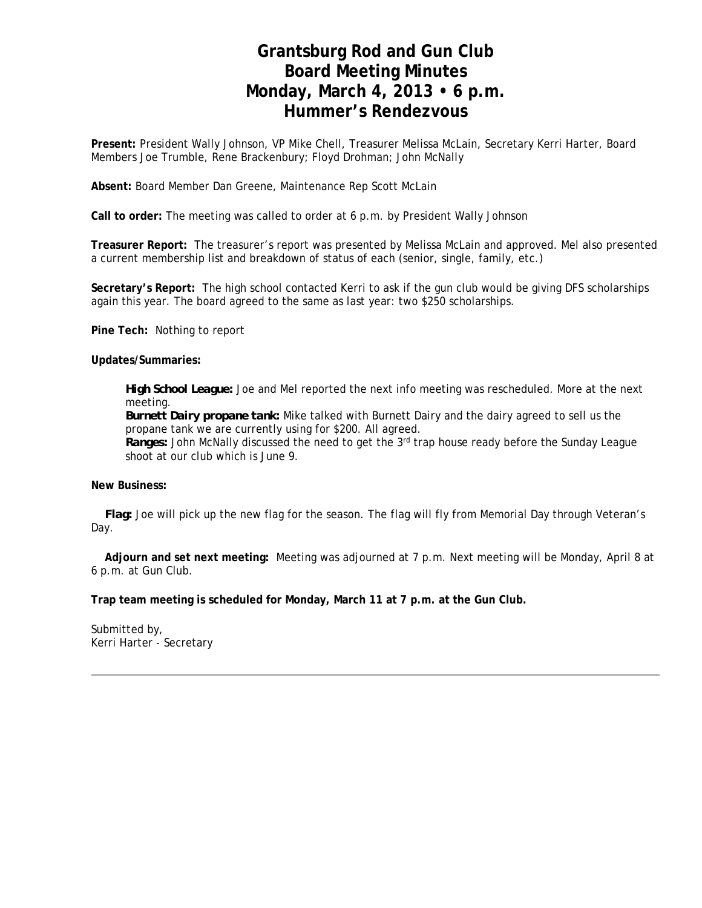## **Grantsburg Rod and Gun Club Board Meeting Minutes Monday, March 4, 2013 • 6 p.m. Hummer's Rendezvous**

**Present:** President Wally Johnson, VP Mike Chell, Treasurer Melissa McLain, Secretary Kerri Harter, Board Members Joe Trumble, Rene Brackenbury; Floyd Drohman; John McNally

**Absent:** Board Member Dan Greene, Maintenance Rep Scott McLain

**Call to order:** The meeting was called to order at 6 p.m. by President Wally Johnson

**Treasurer Report:** The treasurer's report was presented by Melissa McLain and approved. Mel also presented a current membership list and breakdown of status of each (senior, single, family, etc.)

**Secretary's Report:** The high school contacted Kerri to ask if the gun club would be giving DFS scholarships again this year. The board agreed to the same as last year: two \$250 scholarships.

**Pine Tech:** Nothing to report

**Updates/Summaries:**

*High School League:* Joe and Mel reported the next info meeting was rescheduled. More at the next meeting.

*Burnett Dairy propane tank:* Mike talked with Burnett Dairy and the dairy agreed to sell us the propane tank we are currently using for \$200. All agreed.

*Ranges:* John McNally discussed the need to get the 3rd trap house ready before the Sunday League shoot at our club which is June 9.

**New Business:** 

*Flag:* Joe will pick up the new flag for the season. The flag will fly from Memorial Day through Veteran's Day.

 **Adjourn and set next meeting:** Meeting was adjourned at 7 p.m. Next meeting will be Monday, April 8 at 6 p.m. at Gun Club.

**Trap team meeting is scheduled for Monday, March 11 at 7 p.m. at the Gun Club.**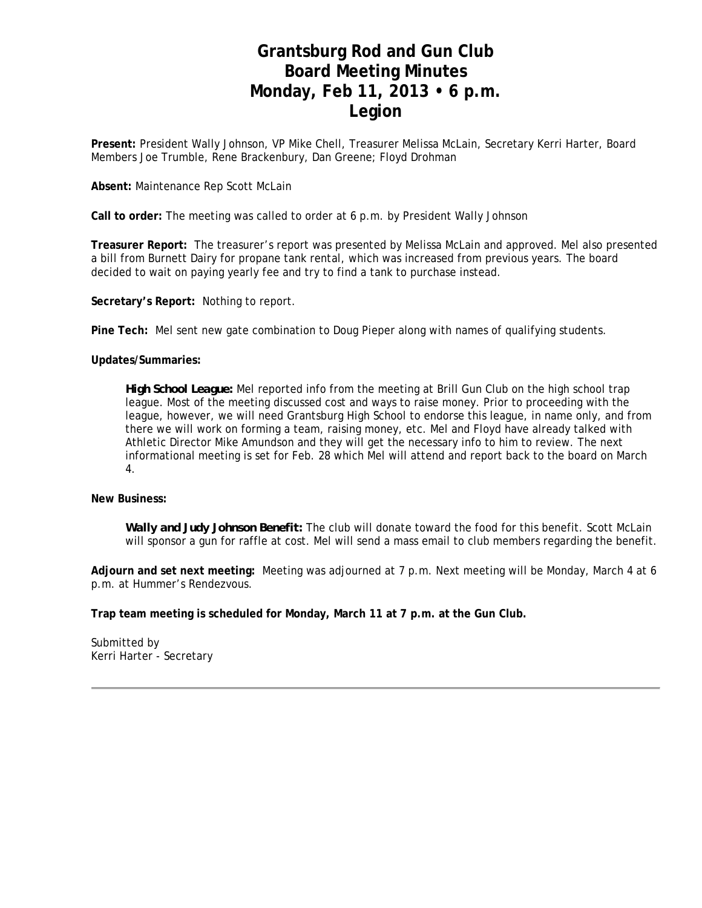## **Grantsburg Rod and Gun Club Board Meeting Minutes Monday, Feb 11, 2013 • 6 p.m. Legion**

**Present:** President Wally Johnson, VP Mike Chell, Treasurer Melissa McLain, Secretary Kerri Harter, Board Members Joe Trumble, Rene Brackenbury, Dan Greene; Floyd Drohman

#### **Absent:** Maintenance Rep Scott McLain

**Call to order:** The meeting was called to order at 6 p.m. by President Wally Johnson

**Treasurer Report:** The treasurer's report was presented by Melissa McLain and approved. Mel also presented a bill from Burnett Dairy for propane tank rental, which was increased from previous years. The board decided to wait on paying yearly fee and try to find a tank to purchase instead.

**Secretary's Report:** Nothing to report.

**Pine Tech:** Mel sent new gate combination to Doug Pieper along with names of qualifying students.

**Updates/Summaries:**

*High School League:* Mel reported info from the meeting at Brill Gun Club on the high school trap league. Most of the meeting discussed cost and ways to raise money. Prior to proceeding with the league, however, we will need Grantsburg High School to endorse this league, in name only, and from there we will work on forming a team, raising money, etc. Mel and Floyd have already talked with Athletic Director Mike Amundson and they will get the necessary info to him to review. The next informational meeting is set for Feb. 28 which Mel will attend and report back to the board on March 4.

**New Business:** 

*Wally and Judy Johnson Benefit:* The club will donate toward the food for this benefit. Scott McLain will sponsor a gun for raffle at cost. Mel will send a mass email to club members regarding the benefit.

**Adjourn and set next meeting:** Meeting was adjourned at 7 p.m. Next meeting will be Monday, March 4 at 6 p.m. at Hummer's Rendezvous.

**Trap team meeting is scheduled for Monday, March 11 at 7 p.m. at the Gun Club.**